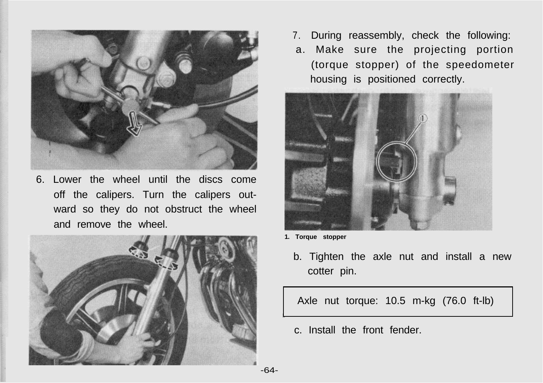

6. Lower the wheel until the discs come off the calipers. Turn the calipers outward so they do not obstruct the wheel and remove the wheel.



- 7. During reassembly, check the following:
- a. Make sure the projecting portion (torque stopper) of the speedometer housing is positioned correctly.



- **1. Torque stopper**
	- b. Tighten the axle nut and install a new cotter pin.

Axle nut torque: 10.5 m-kg (76.0 ft-lb)

c. Install the front fender.

-64-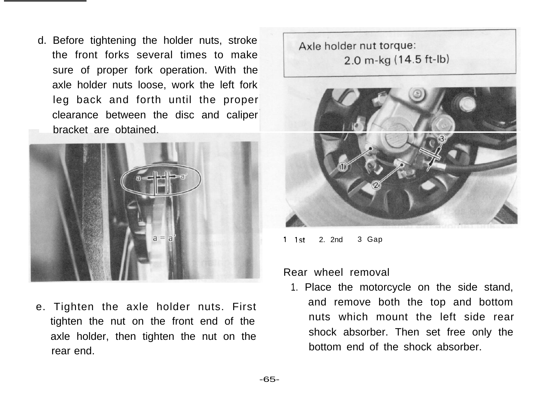d. Before tightening the holder nuts, stroke the front forks several times to make sure of proper fork operation. With the axle holder nuts loose, work the left fork leg back and forth until the proper clearance between the disc and caliper bracket are obtained.



e. Tighten the axle holder nuts. First tighten the nut on the front end of the axle holder, then tighten the nut on the rear end.

Axle holder nut torque: 2.0 m-kg (14.5 ft-lb)



<sup>1</sup> 1st 2. 2nd 3 Gap

## Rear wheel removal

1. Place the motorcycle on the side stand, and remove both the top and bottom nuts which mount the left side rear shock absorber. Then set free only the bottom end of the shock absorber.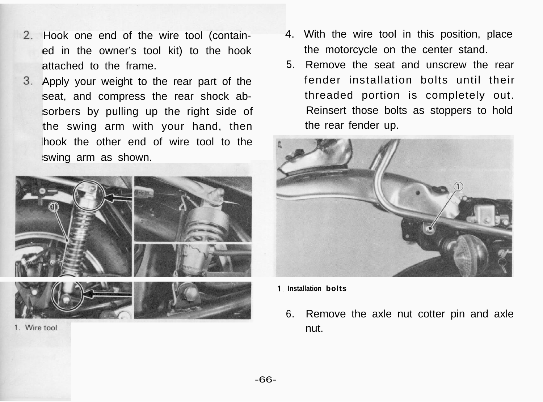- Hook one end of the wire tool (contained in the owner's tool kit) to the hook attached to the frame.
- Apply your weight to the rear part of the seat, and compress the rear shock absorbers by pulling up the right side of the swing arm with your hand, then hook the other end of wire tool to the swing arm as shown.



1. Wire tool

- 4. With the wire tool in this position, place the motorcycle on the center stand.
- 5. Remove the seat and unscrew the rear fender installation bolts until their threaded portion is completely out. Reinsert those bolts as stoppers to hold the rear fender up.



- **1. Installation bolts**
	- 6. Remove the axle nut cotter pin and axle nut.